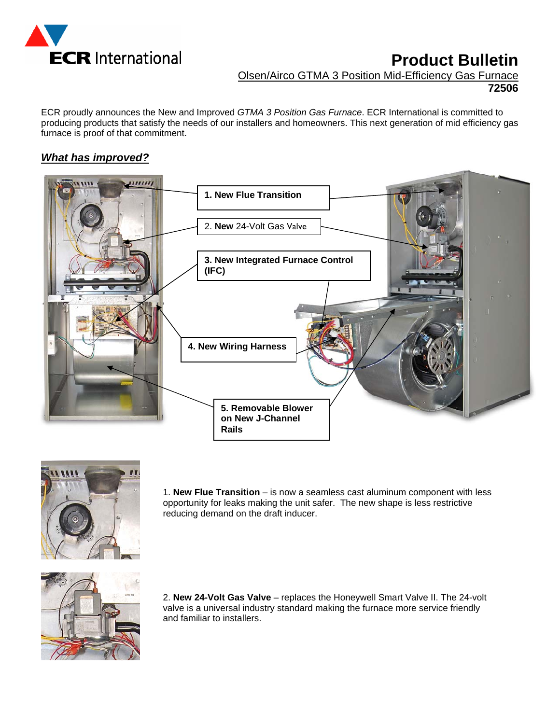

# **Product Bulletin**

Olsen/Airco GTMA 3 Position Mid-Efficiency Gas Furnace

**72506**

ECR proudly announces the New and Improved *GTMA 3 Position Gas Furnace*. ECR International is committed to producing products that satisfy the needs of our installers and homeowners. This next generation of mid efficiency gas furnace is proof of that commitment.

## *What has improved?*





1. **New Flue Transition** – is now a seamless cast aluminum component with less opportunity for leaks making the unit safer. The new shape is less restrictive reducing demand on the draft inducer.



2. **New 24-Volt Gas Valve** – replaces the Honeywell Smart Valve II. The 24-volt valve is a universal industry standard making the furnace more service friendly and familiar to installers.